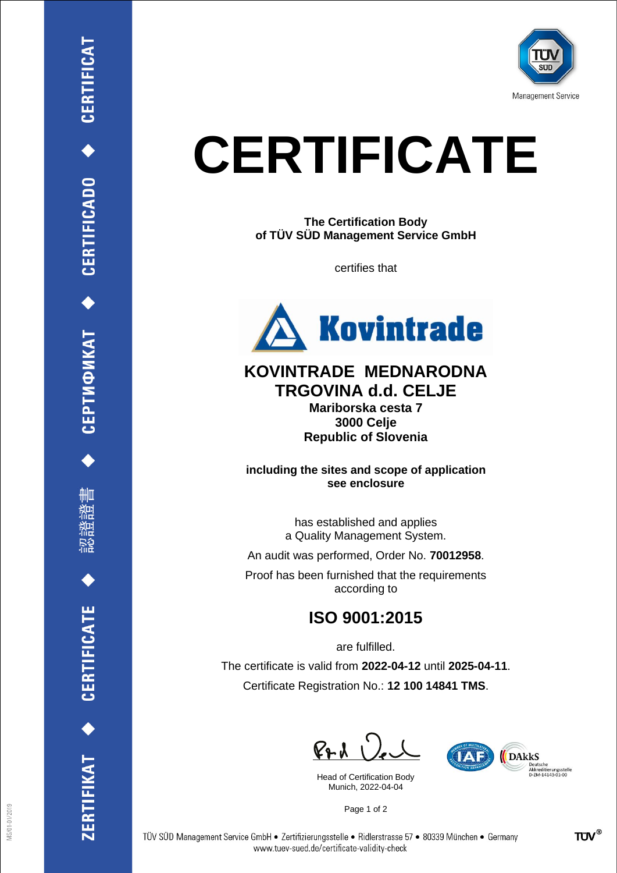

## **CERTIFICATE**

**The Certification Body of TÜV SÜD Management Service GmbH**

certifies that



## **KOVINTRADE MEDNARODNA TRGOVINA d.d. CELJE**

**Mariborska cesta 7 3000 Celje Republic of Slovenia**

**including the sites and scope of application see enclosure**

> has established and applies a Quality Management System.

An audit was performed, Order No. **70012958**.

Proof has been furnished that the requirements according to

## **ISO 9001:2015**

are fulfilled.

The certificate is valid from **2022-04-12** until **2025-04-11**. Certificate Registration No.: **12 100 14841 TMS**.

 $P + U$ 

Head of Certification Body Munich, 2022-04-04



Page 1 of 2

CEPTMФИКАТ ◆ CERTIFICADO ◆ CERTIFICAT

ĦШ

**CERTIFICATE** 

ERTIFIKAT<sup>+</sup>